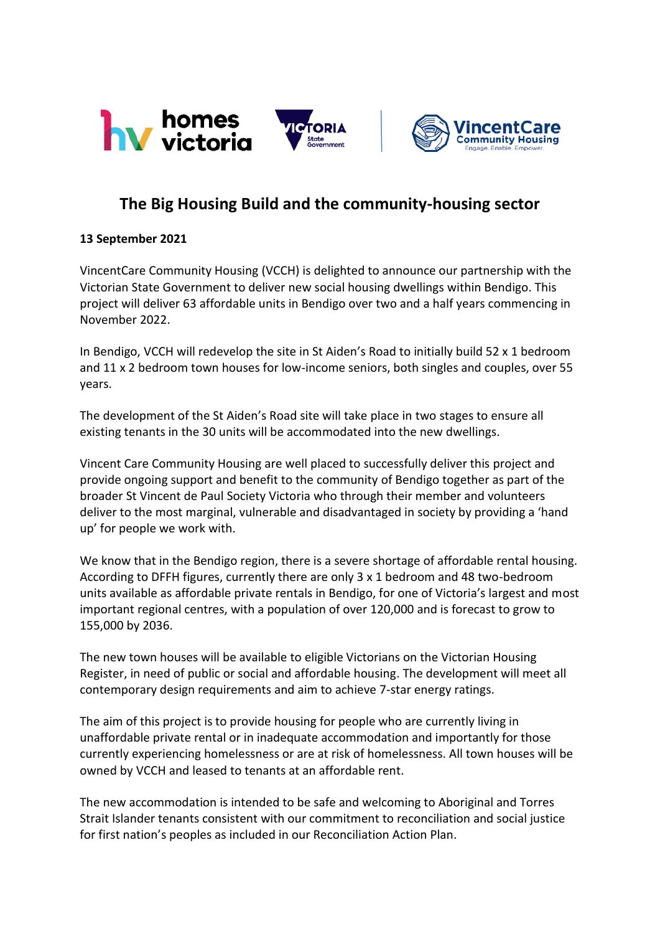

## **The Big Housing Build and the community-housing sector**

## **13 September 2021**

VincentCare Community Housing (VCCH) is delighted to announce our partnership with the Victorian State Government to deliver new social housing dwellings within Bendigo. This project will deliver 63 affordable units in Bendigo over two and a half years commencing in November 2022.

In Bendigo, VCCH will redevelop the site in St Aiden's Road to initially build 52 x 1 bedroom and 11 x 2 bedroom town houses for low-income seniors, both singles and couples, over 55 years.

The development of the St Aiden's Road site will take place in two stages to ensure all existing tenants in the 30 units will be accommodated into the new dwellings.

Vincent Care Community Housing are well placed to successfully deliver this project and provide ongoing support and benefit to the community of Bendigo together as part of the broader St Vincent de Paul Society Victoria who through their member and volunteers deliver to the most marginal, vulnerable and disadvantaged in society by providing a 'hand up' for people we work with.

We know that in the Bendigo region, there is a severe shortage of affordable rental housing. According to DFFH figures, currently there are only 3 x 1 bedroom and 48 two-bedroom units available as affordable private rentals in Bendigo, for one of Victoria's largest and most important regional centres, with a population of over 120,000 and is forecast to grow to 155,000 by 2036.

The new town houses will be available to eligible Victorians on the Victorian Housing Register, in need of public or social and affordable housing. The development will meet all contemporary design requirements and aim to achieve 7-star energy ratings.

The aim of this project is to provide housing for people who are currently living in unaffordable private rental or in inadequate accommodation and importantly for those currently experiencing homelessness or are at risk of homelessness. All town houses will be owned by VCCH and leased to tenants at an affordable rent.

The new accommodation is intended to be safe and welcoming to Aboriginal and Torres Strait Islander tenants consistent with our commitment to reconciliation and social justice for first nation's peoples as included in our Reconciliation Action Plan.